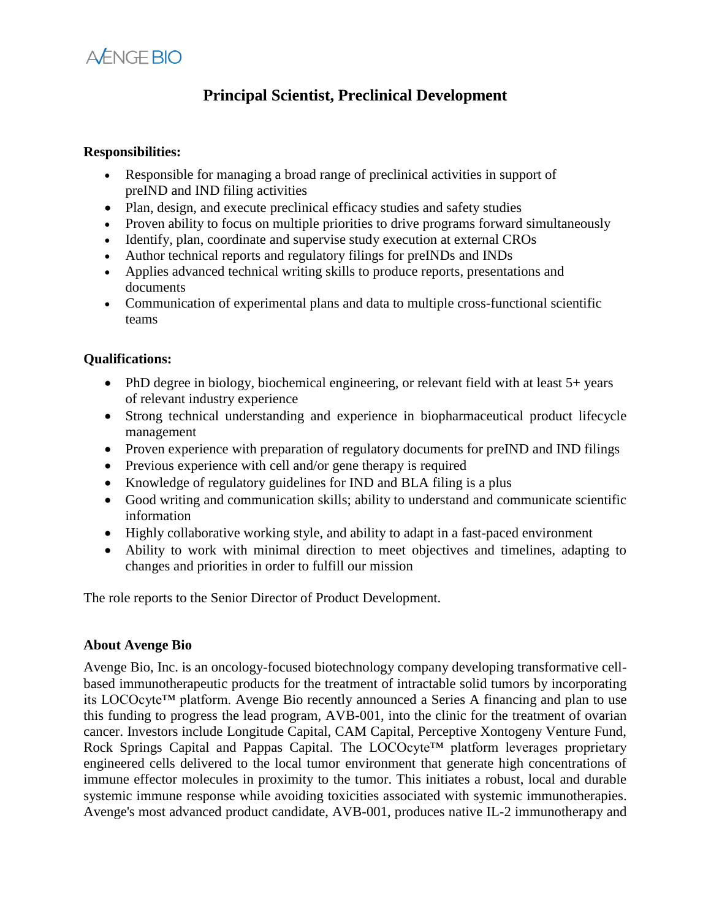

## **Principal Scientist, Preclinical Development**

## **Responsibilities:**

- Responsible for managing a broad range of preclinical activities in support of preIND and IND filing activities
- Plan, design, and execute preclinical efficacy studies and safety studies
- Proven ability to focus on multiple priorities to drive programs forward simultaneously
- Identify, plan, coordinate and supervise study execution at external CROs
- Author technical reports and regulatory filings for preINDs and INDs
- Applies advanced technical writing skills to produce reports, presentations and documents
- Communication of experimental plans and data to multiple cross-functional scientific teams

## **Qualifications:**

- PhD degree in biology, biochemical engineering, or relevant field with at least 5+ years of relevant industry experience
- Strong technical understanding and experience in biopharmaceutical product lifecycle management
- Proven experience with preparation of regulatory documents for preIND and IND filings
- Previous experience with cell and/or gene therapy is required
- Knowledge of regulatory guidelines for IND and BLA filing is a plus
- Good writing and communication skills; ability to understand and communicate scientific information
- Highly collaborative working style, and ability to adapt in a fast-paced environment
- Ability to work with minimal direction to meet objectives and timelines, adapting to changes and priorities in order to fulfill our mission

The role reports to the Senior Director of Product Development.

## **About Avenge Bio**

Avenge Bio, Inc. is an oncology-focused biotechnology company developing transformative cellbased immunotherapeutic products for the treatment of intractable solid tumors by incorporating its LOCOcyte™ platform. Avenge Bio recently announced a Series A financing and plan to use this funding to progress the lead program, AVB-001, into the clinic for the treatment of ovarian cancer. Investors include Longitude Capital, CAM Capital, Perceptive Xontogeny Venture Fund, Rock Springs Capital and Pappas Capital. The LOCOcyte™ platform leverages proprietary engineered cells delivered to the local tumor environment that generate high concentrations of immune effector molecules in proximity to the tumor. This initiates a robust, local and durable systemic immune response while avoiding toxicities associated with systemic immunotherapies. Avenge's most advanced product candidate, AVB-001, produces native IL-2 immunotherapy and